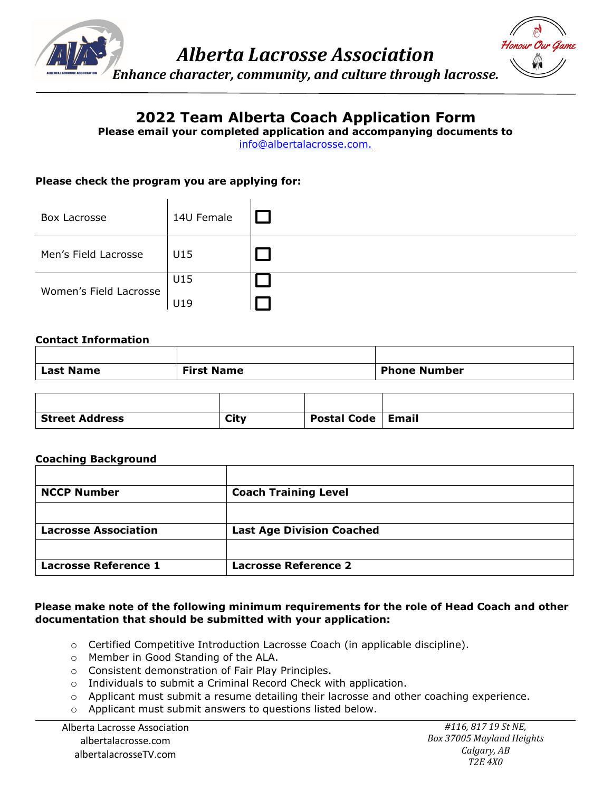

# **2022 Team Alberta Coach Application Form**

**Please email your completed application and accompanying documents to**

[info@albertalacrosse.com.](mailto:info@albertalacrosse.com)

### **Please check the program you are applying for:**

| Box Lacrosse           | 14U Female |  |
|------------------------|------------|--|
| Men's Field Lacrosse   | U15        |  |
| Women's Field Lacrosse | U15        |  |
|                        | U19        |  |

#### **Contact Information**

| Last Name | <b>First Name</b> | <b>Phone Number</b> |
|-----------|-------------------|---------------------|

| <b>Street Address</b> | City | Postal Code   Email |  |
|-----------------------|------|---------------------|--|

### **Coaching Background**

| <b>NCCP Number</b>          | <b>Coach Training Level</b>      |
|-----------------------------|----------------------------------|
|                             |                                  |
| <b>Lacrosse Association</b> | <b>Last Age Division Coached</b> |
|                             |                                  |
| <b>Lacrosse Reference 1</b> | <b>Lacrosse Reference 2</b>      |

#### **Please make note of the following minimum requirements for the role of Head Coach and other documentation that should be submitted with your application:**

- $\circ$  Certified Competitive Introduction Lacrosse Coach (in applicable discipline).
- o Member in Good Standing of the ALA.
- o Consistent demonstration of Fair Play Principles.
- o Individuals to submit a Criminal Record Check with application.
- o Applicant must submit a resume detailing their lacrosse and other coaching experience.
- o Applicant must submit answers to questions listed below.